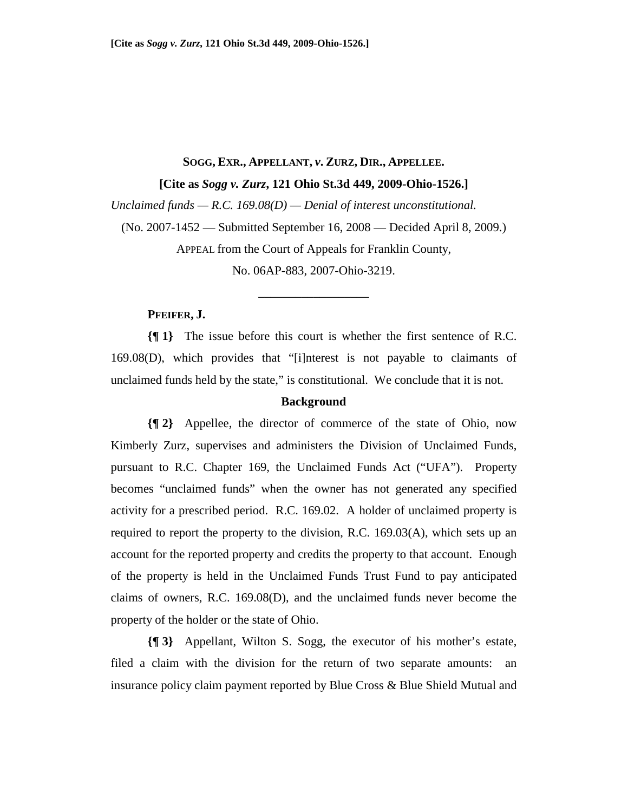# **SOGG, EXR., APPELLANT,** *v***. ZURZ, DIR., APPELLEE.**

**[Cite as** *Sogg v. Zurz***, 121 Ohio St.3d 449, 2009-Ohio-1526.]**

*Unclaimed funds — R.C. 169.08(D) — Denial of interest unconstitutional.* 

(No. 2007-1452 — Submitted September 16, 2008 — Decided April 8, 2009.)

APPEAL from the Court of Appeals for Franklin County,

No. 06AP-883, 2007-Ohio-3219.

\_\_\_\_\_\_\_\_\_\_\_\_\_\_\_\_\_\_

#### **PFEIFER, J.**

**{¶ 1}** The issue before this court is whether the first sentence of R.C. 169.08(D), which provides that "[i]nterest is not payable to claimants of unclaimed funds held by the state," is constitutional. We conclude that it is not.

#### **Background**

**{¶ 2}** Appellee, the director of commerce of the state of Ohio, now Kimberly Zurz, supervises and administers the Division of Unclaimed Funds, pursuant to R.C. Chapter 169, the Unclaimed Funds Act ("UFA"). Property becomes "unclaimed funds" when the owner has not generated any specified activity for a prescribed period. R.C. 169.02. A holder of unclaimed property is required to report the property to the division, R.C. 169.03(A), which sets up an account for the reported property and credits the property to that account. Enough of the property is held in the Unclaimed Funds Trust Fund to pay anticipated claims of owners, R.C. 169.08(D), and the unclaimed funds never become the property of the holder or the state of Ohio.

**{¶ 3}** Appellant, Wilton S. Sogg, the executor of his mother's estate, filed a claim with the division for the return of two separate amounts: an insurance policy claim payment reported by Blue Cross & Blue Shield Mutual and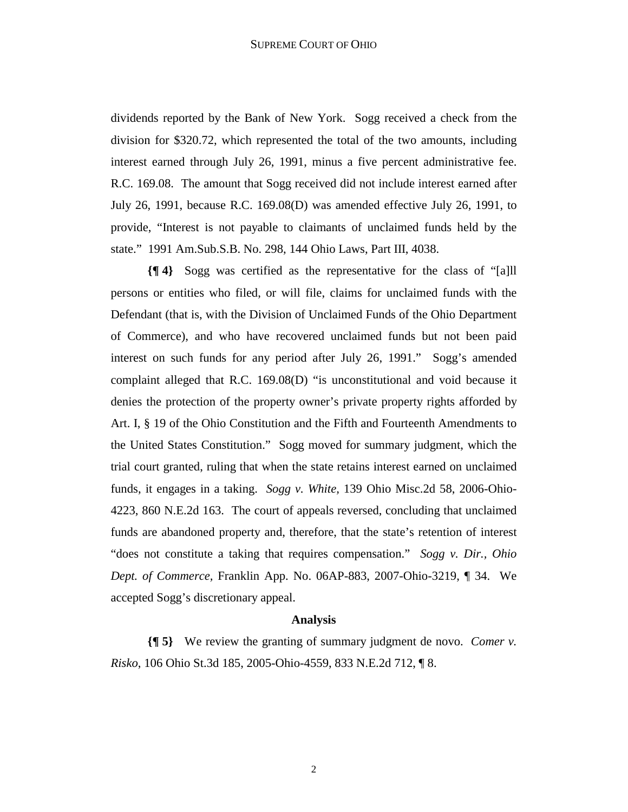dividends reported by the Bank of New York. Sogg received a check from the division for \$320.72, which represented the total of the two amounts, including interest earned through July 26, 1991, minus a five percent administrative fee. R.C. 169.08. The amount that Sogg received did not include interest earned after July 26, 1991, because R.C. 169.08(D) was amended effective July 26, 1991, to provide, "Interest is not payable to claimants of unclaimed funds held by the state." 1991 Am.Sub.S.B. No. 298, 144 Ohio Laws, Part III, 4038.

**{¶ 4}** Sogg was certified as the representative for the class of "[a]ll persons or entities who filed, or will file, claims for unclaimed funds with the Defendant (that is, with the Division of Unclaimed Funds of the Ohio Department of Commerce), and who have recovered unclaimed funds but not been paid interest on such funds for any period after July 26, 1991." Sogg's amended complaint alleged that R.C. 169.08(D) "is unconstitutional and void because it denies the protection of the property owner's private property rights afforded by Art. I, § 19 of the Ohio Constitution and the Fifth and Fourteenth Amendments to the United States Constitution." Sogg moved for summary judgment, which the trial court granted, ruling that when the state retains interest earned on unclaimed funds, it engages in a taking. *Sogg v. White,* 139 Ohio Misc.2d 58, 2006-Ohio-4223, 860 N.E.2d 163. The court of appeals reversed, concluding that unclaimed funds are abandoned property and, therefore, that the state's retention of interest "does not constitute a taking that requires compensation." *Sogg v. Dir., Ohio Dept. of Commerce,* Franklin App. No. 06AP-883, 2007-Ohio-3219, ¶ 34. We accepted Sogg's discretionary appeal.

## **Analysis**

**{¶ 5}** We review the granting of summary judgment de novo. *Comer v. Risko*, 106 Ohio St.3d 185, 2005-Ohio-4559, 833 N.E.2d 712, ¶ 8.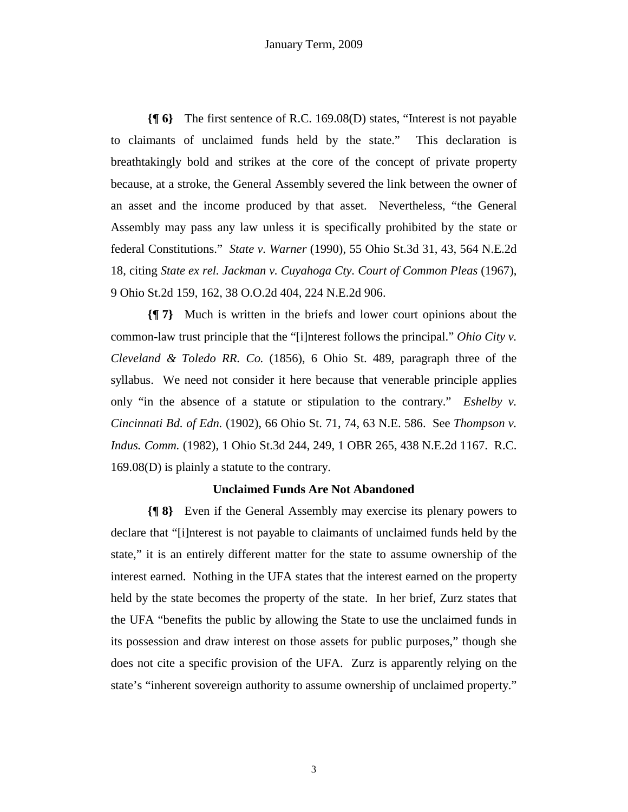**{¶ 6}** The first sentence of R.C. 169.08(D) states, "Interest is not payable to claimants of unclaimed funds held by the state." This declaration is breathtakingly bold and strikes at the core of the concept of private property because, at a stroke, the General Assembly severed the link between the owner of an asset and the income produced by that asset. Nevertheless, "the General Assembly may pass any law unless it is specifically prohibited by the state or federal Constitutions." *State v. Warner* (1990), 55 Ohio St.3d 31, 43, 564 N.E.2d 18, citing *State ex rel. Jackman v. Cuyahoga Cty. Court of Common Pleas* (1967), 9 Ohio St.2d 159, 162, 38 O.O.2d 404, 224 N.E.2d 906.

**{¶ 7}** Much is written in the briefs and lower court opinions about the common-law trust principle that the "[i]nterest follows the principal." *Ohio City v. Cleveland & Toledo RR. Co.* (1856), 6 Ohio St. 489, paragraph three of the syllabus. We need not consider it here because that venerable principle applies only "in the absence of a statute or stipulation to the contrary." *Eshelby v. Cincinnati Bd. of Edn.* (1902), 66 Ohio St. 71, 74, 63 N.E. 586. See *Thompson v. Indus. Comm.* (1982), 1 Ohio St.3d 244, 249, 1 OBR 265, 438 N.E.2d 1167. R.C. 169.08(D) is plainly a statute to the contrary.

### **Unclaimed Funds Are Not Abandoned**

**{¶ 8}** Even if the General Assembly may exercise its plenary powers to declare that "[i]nterest is not payable to claimants of unclaimed funds held by the state," it is an entirely different matter for the state to assume ownership of the interest earned. Nothing in the UFA states that the interest earned on the property held by the state becomes the property of the state. In her brief, Zurz states that the UFA "benefits the public by allowing the State to use the unclaimed funds in its possession and draw interest on those assets for public purposes," though she does not cite a specific provision of the UFA. Zurz is apparently relying on the state's "inherent sovereign authority to assume ownership of unclaimed property."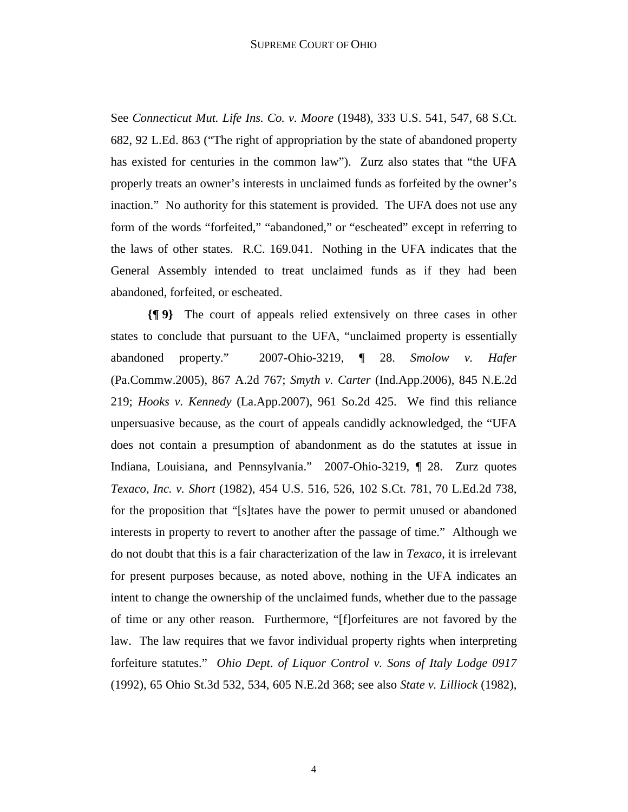See *Connecticut Mut. Life Ins. Co. v. Moore* (1948), 333 U.S. 541, 547, 68 S.Ct. 682, 92 L.Ed. 863 ("The right of appropriation by the state of abandoned property has existed for centuries in the common law"). Zurz also states that "the UFA properly treats an owner's interests in unclaimed funds as forfeited by the owner's inaction." No authority for this statement is provided. The UFA does not use any form of the words "forfeited," "abandoned," or "escheated" except in referring to the laws of other states. R.C. 169.041. Nothing in the UFA indicates that the General Assembly intended to treat unclaimed funds as if they had been abandoned, forfeited, or escheated.

**{¶ 9}** The court of appeals relied extensively on three cases in other states to conclude that pursuant to the UFA, "unclaimed property is essentially abandoned property." 2007-Ohio-3219, ¶ 28. *Smolow v. Hafer* (Pa.Commw.2005), 867 A.2d 767; *Smyth v. Carter* (Ind.App.2006), 845 N.E.2d 219; *Hooks v. Kennedy* (La.App.2007), 961 So.2d 425. We find this reliance unpersuasive because, as the court of appeals candidly acknowledged, the "UFA does not contain a presumption of abandonment as do the statutes at issue in Indiana, Louisiana, and Pennsylvania." 2007-Ohio-3219, ¶ 28. Zurz quotes *Texaco, Inc. v. Short* (1982), 454 U.S. 516, 526, 102 S.Ct. 781, 70 L.Ed.2d 738, for the proposition that "[s]tates have the power to permit unused or abandoned interests in property to revert to another after the passage of time." Although we do not doubt that this is a fair characterization of the law in *Texaco*, it is irrelevant for present purposes because, as noted above, nothing in the UFA indicates an intent to change the ownership of the unclaimed funds, whether due to the passage of time or any other reason. Furthermore, "[f]orfeitures are not favored by the law. The law requires that we favor individual property rights when interpreting forfeiture statutes." *Ohio Dept. of Liquor Control v. Sons of Italy Lodge 0917* (1992), 65 Ohio St.3d 532, 534, 605 N.E.2d 368; see also *State v. Lilliock* (1982),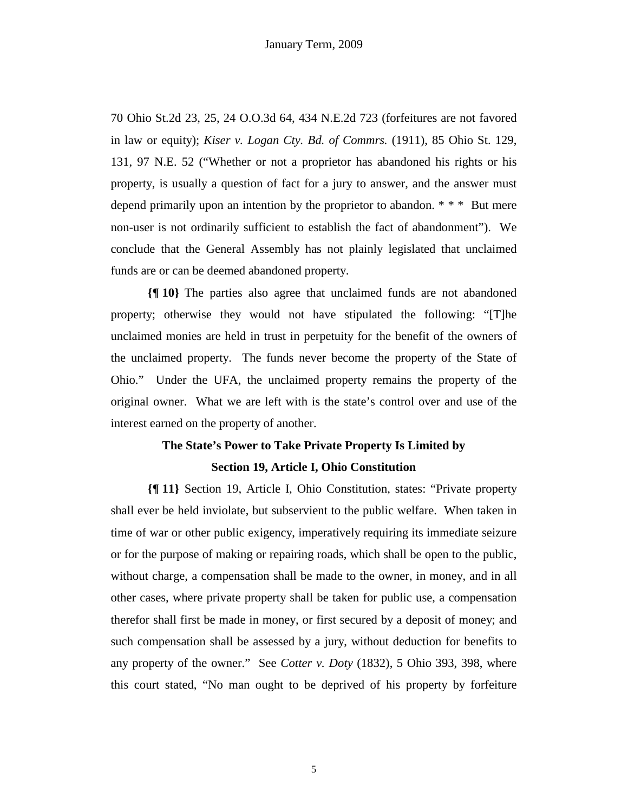70 Ohio St.2d 23, 25, 24 O.O.3d 64, 434 N.E.2d 723 (forfeitures are not favored in law or equity); *Kiser v. Logan Cty. Bd. of Commrs.* (1911), 85 Ohio St. 129, 131, 97 N.E. 52 ("Whether or not a proprietor has abandoned his rights or his property, is usually a question of fact for a jury to answer, and the answer must depend primarily upon an intention by the proprietor to abandon. \* \* \* But mere non-user is not ordinarily sufficient to establish the fact of abandonment"). We conclude that the General Assembly has not plainly legislated that unclaimed funds are or can be deemed abandoned property.

**{¶ 10}** The parties also agree that unclaimed funds are not abandoned property; otherwise they would not have stipulated the following: "[T]he unclaimed monies are held in trust in perpetuity for the benefit of the owners of the unclaimed property. The funds never become the property of the State of Ohio." Under the UFA, the unclaimed property remains the property of the original owner. What we are left with is the state's control over and use of the interest earned on the property of another.

# **The State's Power to Take Private Property Is Limited by**

### **Section 19, Article I, Ohio Constitution**

**{¶ 11}** Section 19, Article I, Ohio Constitution, states: "Private property shall ever be held inviolate, but subservient to the public welfare. When taken in time of war or other public exigency, imperatively requiring its immediate seizure or for the purpose of making or repairing roads, which shall be open to the public, without charge, a compensation shall be made to the owner, in money, and in all other cases, where private property shall be taken for public use, a compensation therefor shall first be made in money, or first secured by a deposit of money; and such compensation shall be assessed by a jury, without deduction for benefits to any property of the owner." See *Cotter v. Doty* (1832), 5 Ohio 393, 398, where this court stated, "No man ought to be deprived of his property by forfeiture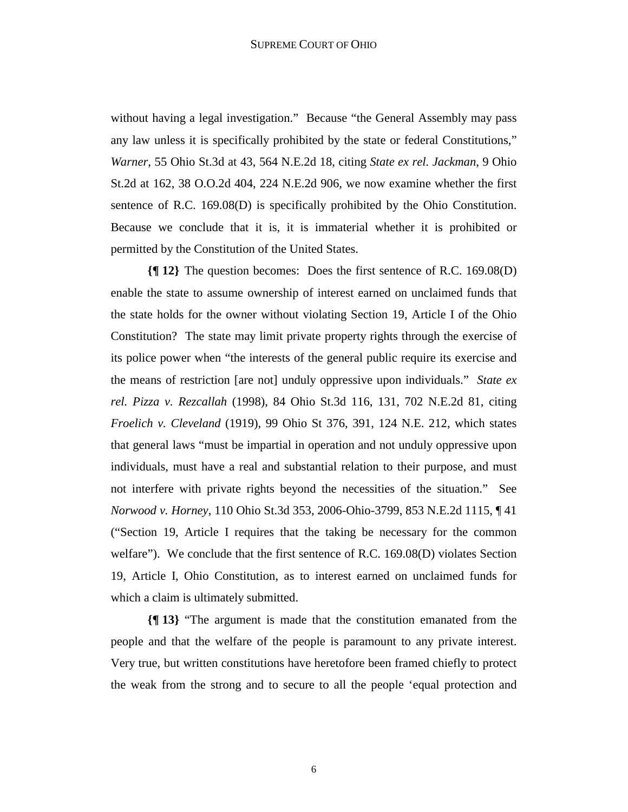without having a legal investigation." Because "the General Assembly may pass any law unless it is specifically prohibited by the state or federal Constitutions," *Warner*, 55 Ohio St.3d at 43, 564 N.E.2d 18, citing *State ex rel. Jackman*, 9 Ohio St.2d at 162, 38 O.O.2d 404, 224 N.E.2d 906, we now examine whether the first sentence of R.C. 169.08(D) is specifically prohibited by the Ohio Constitution. Because we conclude that it is, it is immaterial whether it is prohibited or permitted by the Constitution of the United States.

**{¶ 12}** The question becomes: Does the first sentence of R.C. 169.08(D) enable the state to assume ownership of interest earned on unclaimed funds that the state holds for the owner without violating Section 19, Article I of the Ohio Constitution? The state may limit private property rights through the exercise of its police power when "the interests of the general public require its exercise and the means of restriction [are not] unduly oppressive upon individuals." *State ex rel. Pizza v. Rezcallah* (1998), 84 Ohio St.3d 116, 131, 702 N.E.2d 81, citing *Froelich v. Cleveland* (1919), 99 Ohio St 376, 391, 124 N.E. 212, which states that general laws "must be impartial in operation and not unduly oppressive upon individuals, must have a real and substantial relation to their purpose, and must not interfere with private rights beyond the necessities of the situation." See *Norwood v. Horney*, 110 Ohio St.3d 353, 2006-Ohio-3799, 853 N.E.2d 1115, ¶ 41 ("Section 19, Article I requires that the taking be necessary for the common welfare"). We conclude that the first sentence of R.C. 169.08(D) violates Section 19, Article I, Ohio Constitution, as to interest earned on unclaimed funds for which a claim is ultimately submitted.

**{¶ 13}** "The argument is made that the constitution emanated from the people and that the welfare of the people is paramount to any private interest. Very true, but written constitutions have heretofore been framed chiefly to protect the weak from the strong and to secure to all the people 'equal protection and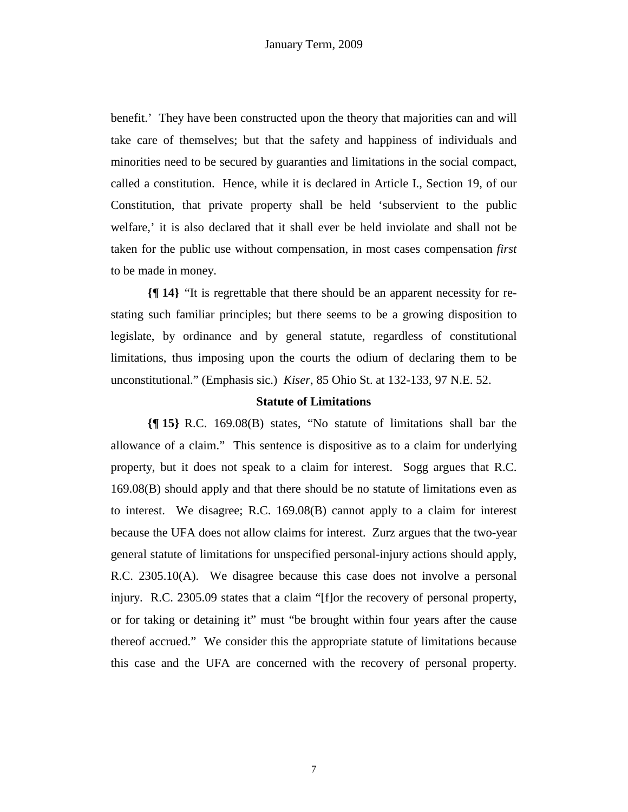benefit.' They have been constructed upon the theory that majorities can and will take care of themselves; but that the safety and happiness of individuals and minorities need to be secured by guaranties and limitations in the social compact, called a constitution. Hence, while it is declared in Article I., Section 19, of our Constitution, that private property shall be held 'subservient to the public welfare,' it is also declared that it shall ever be held inviolate and shall not be taken for the public use without compensation, in most cases compensation *first* to be made in money.

**{¶ 14}** "It is regrettable that there should be an apparent necessity for restating such familiar principles; but there seems to be a growing disposition to legislate, by ordinance and by general statute, regardless of constitutional limitations, thus imposing upon the courts the odium of declaring them to be unconstitutional." (Emphasis sic.) *Kiser*, 85 Ohio St. at 132-133, 97 N.E. 52.

### **Statute of Limitations**

**{¶ 15}** R.C. 169.08(B) states, "No statute of limitations shall bar the allowance of a claim." This sentence is dispositive as to a claim for underlying property, but it does not speak to a claim for interest. Sogg argues that R.C. 169.08(B) should apply and that there should be no statute of limitations even as to interest. We disagree; R.C. 169.08(B) cannot apply to a claim for interest because the UFA does not allow claims for interest. Zurz argues that the two-year general statute of limitations for unspecified personal-injury actions should apply, R.C. 2305.10(A). We disagree because this case does not involve a personal injury. R.C. 2305.09 states that a claim "[f]or the recovery of personal property, or for taking or detaining it" must "be brought within four years after the cause thereof accrued." We consider this the appropriate statute of limitations because this case and the UFA are concerned with the recovery of personal property.